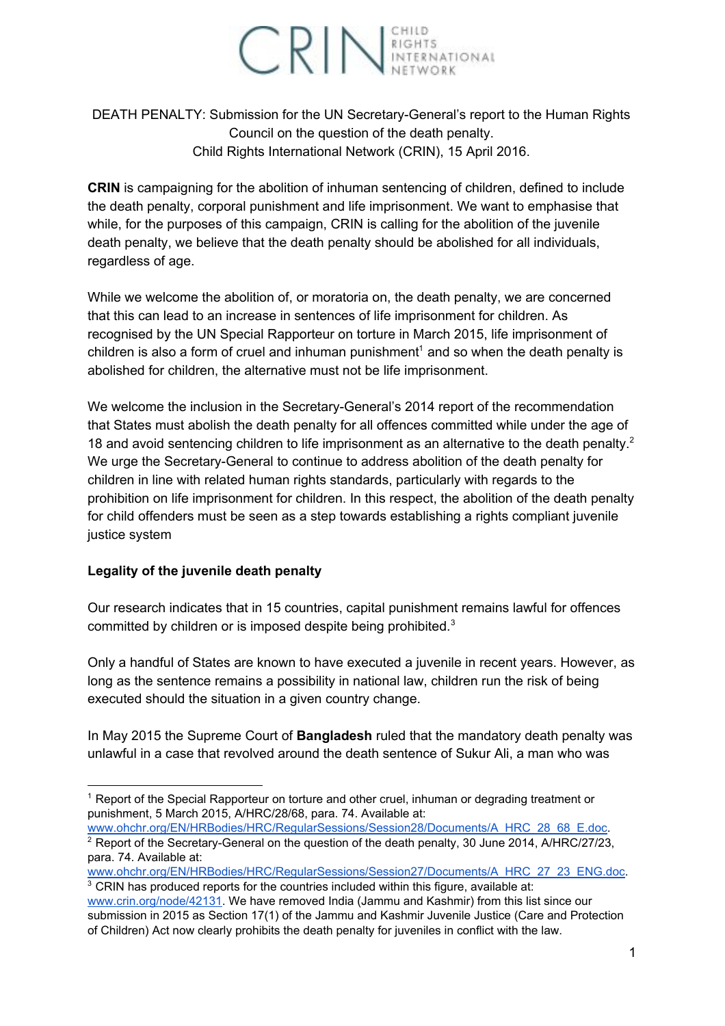

DEATH PENALTY: Submission for the UN Secretary-General's report to the Human Rights Council on the question of the death penalty. Child Rights International Network (CRIN), 15 April 2016.

**CRIN** is campaigning for the abolition of inhuman sentencing of children, defined to include the death penalty, corporal punishment and life imprisonment. We want to emphasise that while, for the purposes of this campaign, CRIN is calling for the abolition of the juvenile death penalty, we believe that the death penalty should be abolished for all individuals, regardless of age.

While we welcome the abolition of, or moratoria on, the death penalty, we are concerned that this can lead to an increase in sentences of life imprisonment for children. As recognised by the UN Special Rapporteur on torture in March 2015, life imprisonment of children is also a form of cruel and inhuman punishment<sup>1</sup> and so when the death penalty is abolished for children, the alternative must not be life imprisonment.

We welcome the inclusion in the Secretary-General's 2014 report of the recommendation that States must abolish the death penalty for all offences committed while under the age of 18 and avoid sentencing children to life imprisonment as an alternative to the death penalty.<sup>2</sup> We urge the Secretary-General to continue to address abolition of the death penalty for children in line with related human rights standards, particularly with regards to the prohibition on life imprisonment for children. In this respect, the abolition of the death penalty for child offenders must be seen as a step towards establishing a rights compliant juvenile justice system

## **Legality of the juvenile death penalty**

Our research indicates that in 15 countries, capital punishment remains lawful for offences committed by children or is imposed despite being prohibited.<sup>3</sup>

Only a handful of States are known to have executed a juvenile in recent years. However, as long as the sentence remains a possibility in national law, children run the risk of being executed should the situation in a given country change.

In May 2015 the Supreme Court of **Bangladesh**ruled that the mandatory death penalty was unlawful in a case that revolved around the death sentence of Sukur Ali, a man who was

[www.ohchr.org/EN/HRBodies/HRC/RegularSessions/Session27/Documents/A\\_HRC\\_27\\_23\\_ENG.doc](http://www.ohchr.org/EN/HRBodies/HRC/RegularSessions/Session27/Documents/A_HRC_27_23_ENG.doc).

<sup>&</sup>lt;sup>1</sup> Report of the Special Rapporteur on torture and other cruel, inhuman or degrading treatment or punishment, 5 March 2015, A/HRC/28/68, para. 74. Available at:

[www.ohchr.org/EN/HRBodies/HRC/RegularSessions/Session28/Documents/A\\_HRC\\_28\\_68\\_E.doc.](http://www.ohchr.org/EN/HRBodies/HRC/RegularSessions/Session28/Documents/A_HRC_28_68_E.doc) <sup>2</sup> Report of the Secretary-General on the question of the death penalty, 30 June 2014, A/HRC/27/23, para. 74. Available at:

<sup>&</sup>lt;sup>3</sup> CRIN has produced reports for the countries included within this figure, available at: [www.crin.org/node/42131.](http://www.crin.org/node/42131) We have removed India (Jammu and Kashmir) from this list since our submission in 2015 as Section 17(1) of the Jammu and Kashmir Juvenile Justice (Care and Protection of Children) Act now clearly prohibits the death penalty for juveniles in conflict with the law.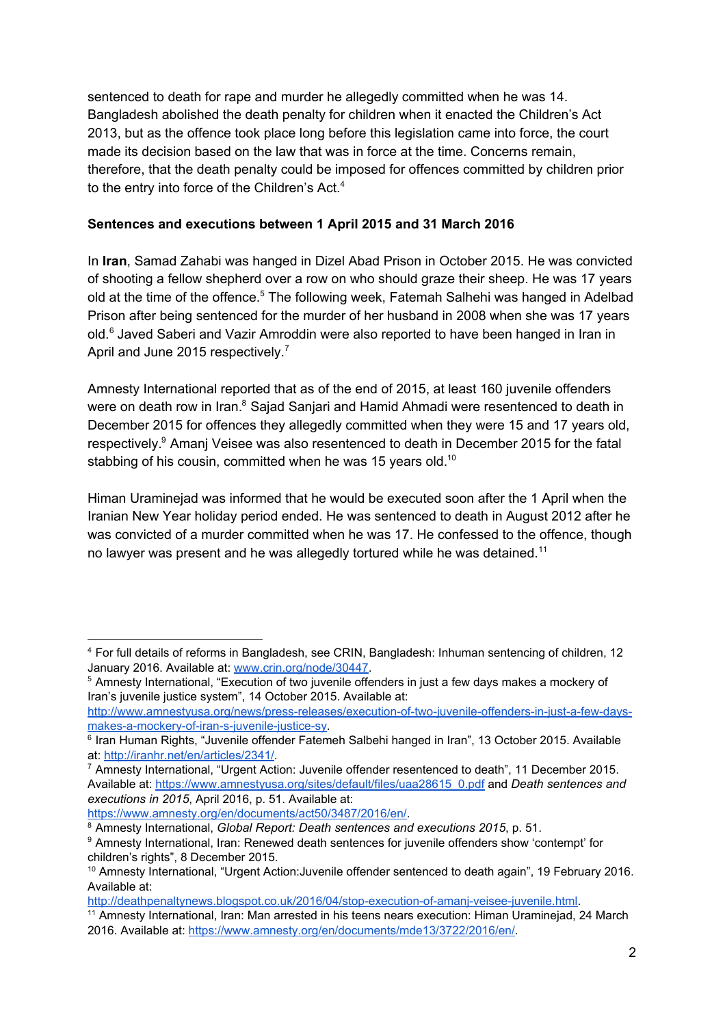sentenced to death for rape and murder he allegedly committed when he was 14. Bangladesh abolished the death penalty for children when it enacted the Children's Act 2013, but as the offence took place long before this legislation came into force, the court made its decision based on the law that was in force at the time. Concerns remain, therefore, that the death penalty could be imposed for offences committed by children prior to the entry into force of the Children's Act.<sup>4</sup>

## **Sentences and executions between 1 April 2015 and 31 March 2016**

In **Iran**, Samad Zahabi was hanged in Dizel Abad Prison in October 2015. He was convicted of shooting a fellow shepherd over a row on who should graze their sheep. He was 17 years old at the time of the offence.<sup>5</sup> The following week, Fatemah Salhehi was hanged in Adelbad Prison after being sentenced for the murder of her husband in 2008 when she was 17 years old.<sup>6</sup> Javed Saberi and Vazir Amroddin were also reported to have been hanged in Iran in April and June 2015 respectively.<sup>7</sup>

Amnesty International reported that as of the end of 2015, at least 160 juvenile offenders were on death row in Iran.<sup>8</sup> Sajad Sanjari and Hamid Ahmadi were resentenced to death in December 2015 for offences they allegedly committed when they were 15 and 17 years old, respectively.<sup>9</sup> Amanj Veisee was also resentenced to death in December 2015 for the fatal stabbing of his cousin, committed when he was 15 years old.<sup>10</sup>

Himan Uraminejad was informed that he would be executed soon after the 1 April when the Iranian New Year holiday period ended. He was sentenced to death in August 2012 after he was convicted of a murder committed when he was 17. He confessed to the offence, though no lawyer was present and he was allegedly tortured while he was detained.<sup>11</sup>

[https://www.amnesty.org/en/documents/act50/3487/2016/en/.](https://www.amnesty.org/en/documents/act50/3487/2016/en/)

<sup>4</sup> For full details of reforms in Bangladesh, see CRIN, Bangladesh: Inhuman sentencing of children, 12 January 2016. Available at: [www.crin.org/node/30447](http://www.crin.org/node/30447).

<sup>5</sup> Amnesty International, "Execution of two juvenile offenders in just a few days makes a mockery of Iran's juvenile justice system", 14 October 2015. Available at:

http://www.amnestyusa.org/news/press-releases/execution-of-two-juvenile-offenders-in-just-a-few-daysmakes-a-mockery-of-iran-s-juvenile-justice-sy.

<sup>6</sup> Iran Human Rights, "Juvenile offender Fatemeh Salbehi hanged in Iran", 13 October 2015. Available at: [http://iranhr.net/en/articles/2341/.](http://iranhr.net/en/articles/2341/)

 $7$  Amnesty International, "Urgent Action: Juvenile offender resentenced to death", 11 December 2015. Available at: [https://www.amnestyusa.org/sites/default/files/uaa28615\\_0.pdf](https://www.amnestyusa.org/sites/default/files/uaa28615_0.pdf) and *Death sentences and executions in 2015*, April 2016, p. 51. Available at:

<sup>8</sup> Amnesty International, *Global Report: Death sentences and executions 2015*, p. 51.

<sup>&</sup>lt;sup>9</sup> Amnesty International, Iran: Renewed death sentences for juvenile offenders show 'contempt' for children's rights", 8 December 2015.

<sup>&</sup>lt;sup>10</sup> Amnesty International, "Urgent Action: Juvenile offender sentenced to death again", 19 February 2016. Available at:

http://deathpenaltynews.blogspot.co.uk/2016/04/stop-execution-of-amanj-veisee-juvenile.html.

<sup>&</sup>lt;sup>11</sup> Amnesty International, Iran: Man arrested in his teens nears execution: Himan Uraminejad, 24 March 2016. Available at: [https://www.amnesty.org/en/documents/mde13/3722/2016/en/.](https://www.amnesty.org/en/documents/mde13/3722/2016/en/)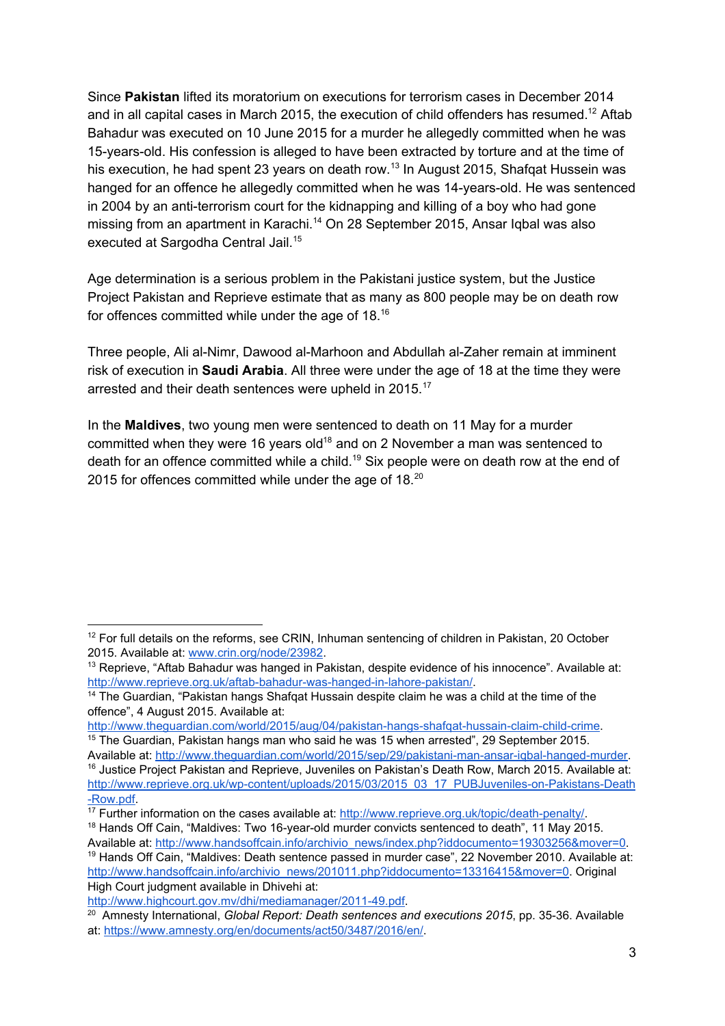Since **Pakistan**lifted its moratorium on executions for terrorism cases in December 2014 and in all capital cases in March 2015, the execution of child offenders has resumed.<sup>12</sup> Aftab Bahadur was executed on 10 June 2015 for a murder he allegedly committed when he was 15-years-old. His confession is alleged to have been extracted by torture and at the time of his execution, he had spent 23 years on death row.<sup>13</sup> In August 2015, Shafqat Hussein was hanged for an offence he allegedly committed when he was 14-years-old. He was sentenced in 2004 by an anti-terrorism court for the kidnapping and killing of a boy who had gone missing from an apartment in Karachi.<sup>14</sup> On 28 September 2015, Ansar Iqbal was also executed at Sargodha Central Jail.<sup>15</sup>

Age determination is a serious problem in the Pakistani justice system, but the Justice Project Pakistan and Reprieve estimate that as many as 800 people may be on death row for offences committed while under the age of 18. $^{16}$ 

Three people, Ali al-Nimr, Dawood al-Marhoon and Abdullah al-Zaher remain at imminent risk of execution in **Saudi Arabia**. All three were under the age of 18 at the time they were arrested and their death sentences were upheld in 2015.<sup>17</sup>

In the **Maldives**, two young men were sentenced to death on 11 May for a murder committed when they were 16 years old<sup>18</sup> and on 2 November a man was sentenced to death for an offence committed while a child.<sup>19</sup> Six people were on death row at the end of 2015 for offences committed while under the age of 18.<sup>20</sup>

<sup>&</sup>lt;sup>12</sup> For full details on the reforms, see CRIN, Inhuman sentencing of children in Pakistan, 20 October 2015. Available at: [www.crin.org/node/23982.](http://www.crin.org/node/23982)

 $13$  Reprieve, "Aftab Bahadur was hanged in Pakistan, despite evidence of his innocence". Available at: http://www.reprieve.org.uk/aftab-bahadur-was-hanged-in-lahore-pakistan/.

<sup>&</sup>lt;sup>14</sup> The Guardian, "Pakistan hangs Shafqat Hussain despite claim he was a child at the time of the offence", 4 August 2015. Available at:

http://www.theguardian.com/world/2015/aug/04/pakistan-hangs-shafqat-hussain-claim-child-crime.  $15$  The Guardian, Pakistan hangs man who said he was 15 when arrested", 29 September 2015.

Available at: http://www.theguardian.com/world/2015/sep/29/pakistani-man-ansar-iqbal-hanged-murder. <sup>16</sup> Justice Project Pakistan and Reprieve, Juveniles on Pakistan's Death Row, March 2015. Available at: http://www.reprieve.org.uk/wp-content/uploads/2015/03/2015\_03\_17\_PUBJuveniles-on-Pakistans-Death [Row.pdf.](http://www.reprieve.org.uk/wp-content/uploads/2015/03/2015_03_17_PUBJuveniles-on-Pakistans-Death-Row.pdf)

<sup>&</sup>lt;sup>17</sup> Further information on the cases available at: http://www.reprieve.org.uk/topic/death-penalty/.

 $18$  Hands Off Cain, "Maldives: Two 16-year-old murder convicts sentenced to death", 11 May 2015. Available at: [http://www.handsoffcain.info/archivio\\_news/index.php?iddocumento=19303256&mover=0.](http://www.handsoffcain.info/archivio_news/index.php?iddocumento=19303256&mover=0)

<sup>&</sup>lt;sup>19</sup> Hands Off Cain, "Maldives: Death sentence passed in murder case", 22 November 2010. Available at: [http://www.handsoffcain.info/archivio\\_news/201011.php?iddocumento=13316415&mover=0.](http://www.handsoffcain.info/archivio_news/201011.php?iddocumento=13316415&mover=0) Original High Court judgment available in Dhivehi at:

http://www.highcourt.gov.mv/dhi/mediamanager/2011-49.pdf.

<sup>20</sup> Amnesty International, *Global Report: Death sentences and executions 2015*, pp. 3536. Available at: [https://www.amnesty.org/en/documents/act50/3487/2016/en/.](https://www.amnesty.org/en/documents/act50/3487/2016/en/)